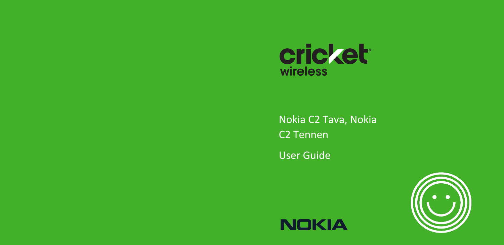

Nokia C2 Tava, Nokia C2 Tennen User Guide





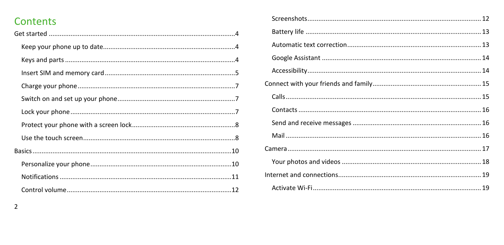# Contents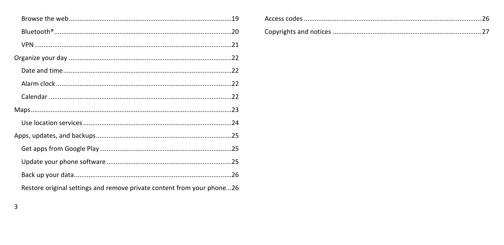| Restore original settings and remove private content from your phone26 |
|------------------------------------------------------------------------|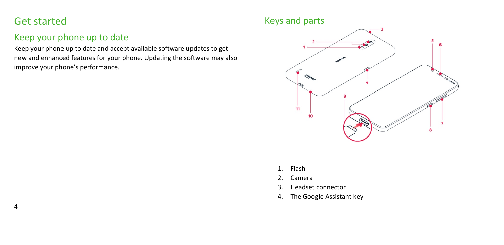## <span id="page-3-0"></span>Get started

4

## <span id="page-3-1"></span>Keep your phone up to date

Keep your phone up to date and accept available software updates to get new and enhanced features for your phone. Updating the software may also improve your phone's performance.

### <span id="page-3-2"></span>Keys and parts



- 1. Flash
- 2. Camera
- 3. Headset connector
- 4. The Google Assistant key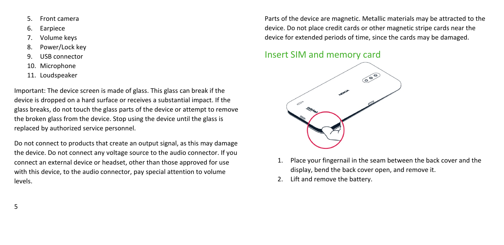- 5. Front camera
- 6. Earpiece
- 7. Volume keys
- 8. Power/Lock key
- 9. USB connector
- 10. Microphone
- 11. Loudspeaker

Important: The device screen is made of glass. This glass can break if the device is dropped on a hard surface or receives a substantial impact. If the glass breaks, do not touch the glass parts of the device or attempt to remove the broken glass from the device. Stop using the device until the glass is replaced by authorized service personnel.

Do not connect to products that create an output signal, as this may damage the device. Do not connect any voltage source to the audio connector. If you connect an external device or headset, other than those approved for use with this device, to the audio connector, pay special attention to volume levels.

Parts of the device are magnetic. Metallic materials may be attracted to the device. Do not place credit cards or other magnetic stripe cards near the device for extended periods of time, since the cards may be damaged.

### <span id="page-4-0"></span>Insert SIM and memory card



- 1. Place your fingernail in the seam between the back cover and the display, bend the back cover open, and remove it.
- 2. Lift and remove the battery.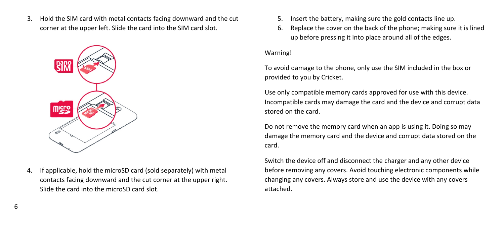3. Hold the SIM card with metal contacts facing downward and the cut corner at the upper left. Slide the card into the SIM card slot.



4. If applicable, hold the microSD card (sold separately) with metal contacts facing downward and the cut corner at the upper right. Slide the card into the microSD card slot.

- 5. Insert the battery, making sure the gold contacts line up.
- 6. Replace the cover on the back of the phone; making sure it is lined up before pressing it into place around all of the edges.

#### Warning!

To avoid damage to the phone, only use the SIM included in the box or provided to you by Cricket.

Use only compatible memory cards approved for use with this device. Incompatible cards may damage the card and the device and corrupt data stored on the card.

Do not remove the memory card when an app is using it. Doing so may damage the memory card and the device and corrupt data stored on the card.

Switch the device off and disconnect the charger and any other device before removing any covers. Avoid touching electronic components while changing any covers. Always store and use the device with any covers attached.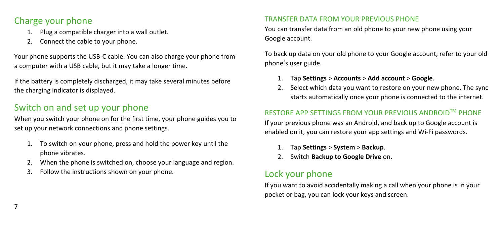## <span id="page-6-0"></span>Charge your phone

- 1. Plug a compatible charger into a wall outlet.
- 2. Connect the cable to your phone.

Your phone supports the USB-C cable. You can also charge your phone from a computer with a USB cable, but it may take a longer time.

If the battery is completely discharged, it may take several minutes before the charging indicator is displayed.

## <span id="page-6-1"></span>Switch on and set up your phone

When you switch your phone on for the first time, your phone guides you to set up your network connections and phone settings.

- 1. To switch on your phone, press and hold the power key until the phone vibrates.
- 2. When the phone is switched on, choose your language and region.
- 3. Follow the instructions shown on your phone.

#### TRANSFER DATA FROM YOUR PREVIOUS PHONE

You can transfer data from an old phone to your new phone using your Google account.

To back up data on your old phone to your Google account, refer to your old phone's user guide.

- 1. Tap **Settings** > **Accounts** > **Add account** > **Google**.
- 2. Select which data you want to restore on your new phone. The sync starts automatically once your phone is connected to the internet.

#### RESTORE APP SETTINGS FROM YOUR PREVIOUS ANDROIDTM PHONE

If your previous phone was an Android, and back up to Google account is enabled on it, you can restore your app settings and Wi-Fi passwords.

- 1. Tap **Settings** > **System** > **Backup**.
- 2. Switch **Backup to Google Drive** on.

## <span id="page-6-2"></span>Lock your phone

If you want to avoid accidentally making a call when your phone is in your pocket or bag, you can lock your keys and screen.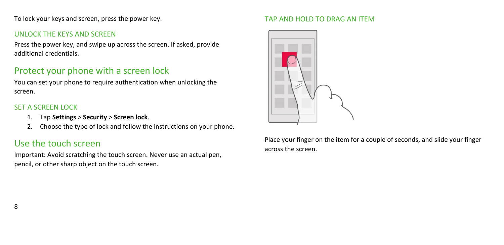To lock your keys and screen, press the power key.

#### UNLOCK THE KEYS AND SCREEN

Press the power key, and swipe up across the screen. If asked, provide additional credentials.

### <span id="page-7-0"></span>Protect your phone with a screen lock

You can set your phone to require authentication when unlocking the screen.

#### SET A SCREEN LOCK

- 1. Tap **Settings** > **Security** > **Screen lock**.
- 2. Choose the type of lock and follow the instructions on your phone.

## <span id="page-7-1"></span>Use the touch screen

Important: Avoid scratching the touch screen. Never use an actual pen, pencil, or other sharp object on the touch screen.

#### TAP AND HOLD TO DRAG AN ITEM



Place your finger on the item for a couple of seconds, and slide your finger across the screen.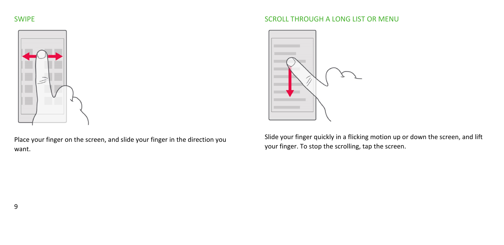#### SWIPE



Place your finger on the screen, and slide your finger in the direction you want.

#### SCROLL THROUGH A LONG LIST OR MENU



Slide your finger quickly in a flicking motion up or down the screen, and lift your finger. To stop the scrolling, tap the screen.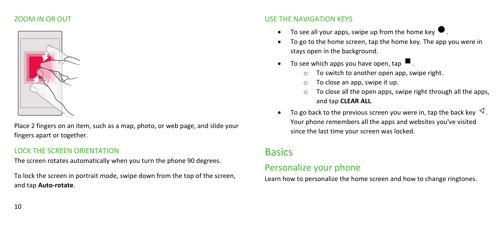#### ZOOM IN OR OUT



Place 2 fingers on an item, such as a map, photo, or web page, and slide your fingers apart or together.

#### LOCK THE SCREEN ORIENTATION

The screen rotates automatically when you turn the phone 90 degrees.

To lock the screen in portrait mode, swipe down from the top of the screen, and tap **Auto-rotate**.

#### USE THE NAVIGATION KEYS

- To see all your apps, swipe up from the home key  $\bullet$ .
- To go to the home screen, tap the home key. The app you were in stays open in the background.
- To see which apps you have open, tap  $\blacksquare$ .
	- o To switch to another open app, swipe right.
	- o To close an app, swipe it up.
	- o To close all the open apps, swipe right through all the apps, and tap **CLEAR ALL**.
- To go back to the previous screen you were in, tap the back key  $\triangleleft$ . Your phone remembers all the apps and websites you've visited since the last time your screen was locked.

## <span id="page-9-0"></span>**Basics**

## <span id="page-9-1"></span>Personalize your phone

Learn how to personalize the home screen and how to change ringtones.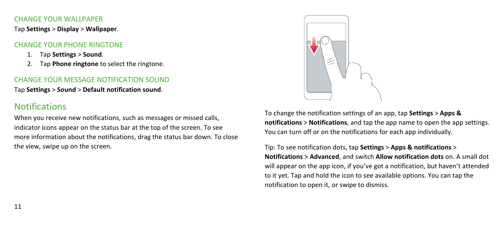#### CHANGE YOUR WALLPAPER

Tap **Settings** > **Display** > **Wallpaper**.

#### CHANGE YOUR PHONE RINGTONE

- 1. Tap **Settings** > **Sound**.
- 2. Tap **Phone ringtone** to select the ringtone.

#### CHANGE YOUR MESSAGE NOTIFICATION SOUND

Tap **Settings** > **Sound** > **Default notification sound**.

## <span id="page-10-0"></span>**Notifications**

When you receive new notifications, such as messages or missed calls, indicator icons appear on the status bar at the top of the screen. To see more information about the notifications, drag the status bar down. To close the view, swipe up on the screen.



To change the notification settings of an app, tap **Settings** > **Apps & notifications** > **Notifications**, and tap the app name to open the app settings. You can turn off or on the notifications for each app individually.

Tip: To see notification dots, tap **Settings** > **Apps & notifications** > **Notifications** > **Advanced**, and switch **Allow notification dots** on. A small dot will appear on the app icon, if you've got a notification, but haven't attended to it yet. Tap and hold the icon to see available options. You can tap the notification to open it, or swipe to dismiss.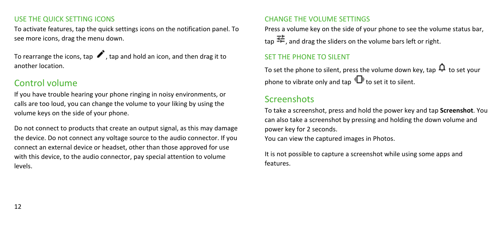#### USE THE QUICK SETTING ICONS

To activate features, tap the quick settings icons on the notification panel. To see more icons, drag the menu down.

To rearrange the icons, tap  $\blacktriangleright$ , tap and hold an icon, and then drag it to another location.

### <span id="page-11-0"></span>Control volume

If you have trouble hearing your phone ringing in noisy environments, or calls are too loud, you can change the volume to your liking by using the volume keys on the side of your phone.

Do not connect to products that create an output signal, as this may damage the device. Do not connect any voltage source to the audio connector. If you connect an external device or headset, other than those approved for use with this device, to the audio connector, pay special attention to volume levels.

#### CHANGE THE VOLUME SETTINGS

Press a volume key on the side of your phone to see the volume status bar, tap  $\Xi$ , and drag the sliders on the volume bars left or right.

#### SET THE PHONE TO SILENT

To set the phone to silent, press the volume down key, tap  $\mathbf{\Omega}$  to set your phone to vibrate only and tap  $\Pi$ <sup>t</sup> to set it to silent.

## <span id="page-11-1"></span>Screenshots

To take a screenshot, press and hold the power key and tap **Screenshot**. You can also take a screenshot by pressing and holding the down volume and power key for 2 seconds.

You can view the captured images in Photos.

It is not possible to capture a screenshot while using some apps and features.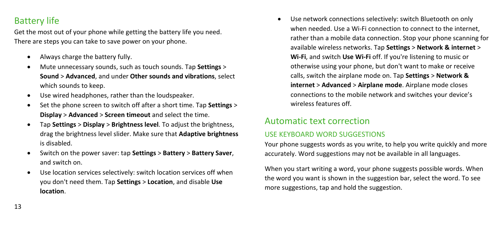## <span id="page-12-0"></span>Battery life

Get the most out of your phone while getting the battery life you need. There are steps you can take to save power on your phone.

- Always charge the battery fully.
- Mute unnecessary sounds, such as touch sounds. Tap **Settings** > **Sound** > **Advanced**, and under **Other sounds and vibrations**, select which sounds to keep.
- Use wired headphones, rather than the loudspeaker.
- Set the phone screen to switch off after a short time. Tap **Settings** > **Display** > **Advanced** > **Screen timeout** and select the time.
- Tap **Settings** > **Display** > **Brightness level**. To adjust the brightness, drag the brightness level slider. Make sure that **Adaptive brightness** is disabled.
- Switch on the power saver: tap **Settings** > **Battery** > **Battery Saver**, and switch on.
- Use location services selectively: switch location services off when you don't need them. Tap **Settings** > **Location**, and disable **Use location**.

• Use network connections selectively: switch Bluetooth on only when needed. Use a Wi-Fi connection to connect to the internet, rather than a mobile data connection. Stop your phone scanning for available wireless networks. Tap **Settings** > **Network & internet** > **Wi-Fi**, and switch **Use Wi-Fi** off. If you're listening to music or otherwise using your phone, but don't want to make or receive calls, switch the airplane mode on. Tap **Settings** > **Network & internet** > **Advanced** > **Airplane mode**. Airplane mode closes connections to the mobile network and switches your device's wireless features off.

### <span id="page-12-1"></span>Automatic text correction

#### USE KEYBOARD WORD SUGGESTIONS

Your phone suggests words as you write, to help you write quickly and more accurately. Word suggestions may not be available in all languages.

When you start writing a word, your phone suggests possible words. When the word you want is shown in the suggestion bar, select the word. To see more suggestions, tap and hold the suggestion.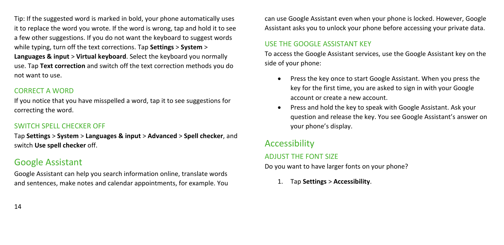Tip: If the suggested word is marked in bold, your phone automatically uses it to replace the word you wrote. If the word is wrong, tap and hold it to see a few other suggestions. If you do not want the keyboard to suggest words while typing, turn off the text corrections. Tap **Settings** > **System** > **Languages & input** > **Virtual keyboard**. Select the keyboard you normally use. Tap **Text correction** and switch off the text correction methods you do not want to use.

#### CORRECT A WORD

If you notice that you have misspelled a word, tap it to see suggestions for correcting the word.

#### SWITCH SPELL CHECKER OFF

Tap **Settings** > **System** > **Languages & input** > **Advanced** > **Spell checker**, and switch **Use spell checker** off.

## <span id="page-13-0"></span>Google Assistant

Google Assistant can help you search information online, translate words and sentences, make notes and calendar appointments, for example. You

can use Google Assistant even when your phone is locked. However, Google Assistant asks you to unlock your phone before accessing your private data.

#### USE THE GOOGLE ASSISTANT KEY

To access the Google Assistant services, use the Google Assistant key on the side of your phone:

- Press the key once to start Google Assistant. When you press the key for the first time, you are asked to sign in with your Google account or create a new account.
- Press and hold the key to speak with Google Assistant. Ask your question and release the key. You see Google Assistant's answer on your phone's display.

## <span id="page-13-1"></span>Accessibility

#### ADJUST THE FONT SIZE

Do you want to have larger fonts on your phone?

1. Tap **Settings** > **Accessibility**.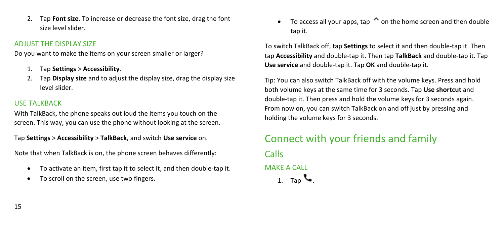2. Tap **Font size**. To increase or decrease the font size, drag the font size level slider.

#### ADJUST THE DISPLAY SIZE

Do you want to make the items on your screen smaller or larger?

- 1. Tap **Settings** > **Accessibility**.
- 2. Tap **Display size** and to adjust the display size, drag the display size level slider.

#### USE TALKBACK

With TalkBack, the phone speaks out loud the items you touch on the screen. This way, you can use the phone without looking at the screen.

Tap **Settings** > **Accessibility** > **TalkBack**, and switch **Use service** on.

Note that when TalkBack is on, the phone screen behaves differently:

- To activate an item, first tap it to select it, and then double-tap it.
- To scroll on the screen, use two fingers.

• To access all your apps, tap  $\hat{\bullet}$  on the home screen and then double tap it.

To switch TalkBack off, tap **Settings** to select it and then double-tap it. Then tap **Accessibility** and double-tap it. Then tap **TalkBack** and double-tap it. Tap **Use service** and double-tap it. Tap **OK** and double-tap it.

Tip: You can also switch TalkBack off with the volume keys. Press and hold both volume keys at the same time for 3 seconds. Tap **Use shortcut** and double-tap it. Then press and hold the volume keys for 3 seconds again. From now on, you can switch TalkBack on and off just by pressing and holding the volume keys for 3 seconds.

# <span id="page-14-1"></span><span id="page-14-0"></span>Connect with your friends and family Calls MAKE A CALL 1. Tap  $\sim$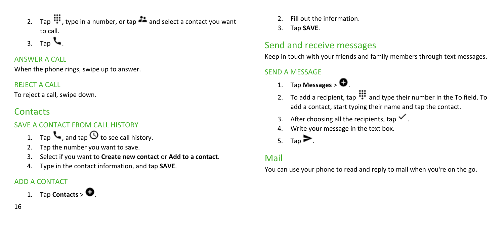- 2. Tap  $\mathbb{H}$ , type in a number, or tap  $\bullet\bullet$  and select a contact you want to call.
- 3. Tap  $\sim$

#### ANSWER A CALL

When the phone rings, swipe up to answer.

#### REJECT A CALL

To reject a call, swipe down.

## <span id="page-15-0"></span>**Contacts**

### SAVE A CONTACT FROM CALL HISTORY

- 1. Tap  $\mathcal{L}_{\bullet}$ , and tap  $\mathcal O$  to see call history.
- 2. Tap the number you want to save.
- 3. Select if you want to **Create new contact** or **Add to a contact**.
- 4. Type in the contact information, and tap **SAVE**.

### ADD A CONTACT

1. Tap **Contacts** >  $\bullet$ .

- 2. Fill out the information.
- 3. Tap **SAVE**.

# <span id="page-15-1"></span>Send and receive messages

Keep in touch with your friends and family members through text messages.

#### SEND A MESSAGE

- 1. Tap **Messages** >  $\bullet$
- 2. To add a recipient, tap  $\mathbf{u}$  and type their number in the To field. To add a contact, start typing their name and tap the contact.
- 3. After choosing all the recipients, tap  $\checkmark$ .
- 4. Write your message in the text box.
- 5. Tap  $\blacktriangleright$ .

## <span id="page-15-2"></span>Mail

You can use your phone to read and reply to mail when you're on the go.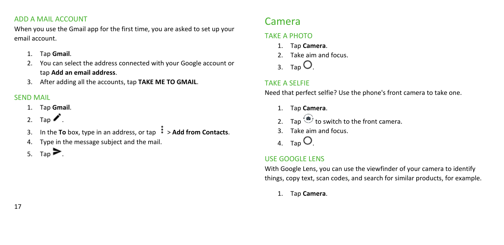#### ADD A MAIL ACCOUNT

When you use the Gmail app for the first time, you are asked to set up your email account.

- 1. Tap **Gmail**.
- 2. You can select the address connected with your Google account or tap **Add an email address**.
- 3. After adding all the accounts, tap **TAKE ME TO GMAIL**.

#### SEND MAIL

- 1. Tap **Gmail**.
- 2. Tap  $\blacktriangleright$ .
- 3. In the **To** box, type in an address, or tap  $\frac{1}{2}$  > Add from Contacts.
- 4. Type in the message subject and the mail.
- 5. Tap $\blacktriangleright$ .

## <span id="page-16-0"></span>Camera

### TAKE A PHOTO

- 1. Tap **Camera**.
- 2. Take aim and focus.
- 3. Tap  $\overline{O}$

### TAKE A SELFIE

Need that perfect selfie? Use the phone's front camera to take one.

- 1. Tap **Camera**.
- 2. Tap  $\overleftrightarrow{\bullet}$  to switch to the front camera.
- 3. Take aim and focus.
- 4. Tap  $\bigcirc$

### USE GOOGLE LENS

With Google Lens, you can use the viewfinder of your camera to identify things, copy text, scan codes, and search for similar products, for example.

1. Tap **Camera**.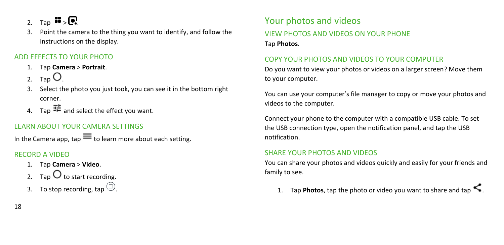2. Tap  $\mathbf{E}$ ,  $\mathbf{Q}$ .

3. Point the camera to the thing you want to identify, and follow the instructions on the display.

#### ADD EFFECTS TO YOUR PHOTO

- 1. Tap **Camera** > **Portrait**.
- 2. Tap  $O$ .
- 3. Select the photo you just took, you can see it in the bottom right corner.
- 4. Tap  $\mathbb{H}$  and select the effect you want.

#### LEARN ABOUT YOUR CAMERA SETTINGS

In the Camera app, tap  $\equiv$  to learn more about each setting.

#### RECORD A VIDEO

- 1. Tap **Camera** > **Video**.
- 2. Tap  $\bigcup$  to start recording.
- 3. To stop recording, tap  $\circled{0}$ .

## <span id="page-17-0"></span>Your photos and videos VIEW PHOTOS AND VIDEOS ON YOUR PHONE Tap **Photos**.

#### COPY YOUR PHOTOS AND VIDEOS TO YOUR COMPUTER

Do you want to view your photos or videos on a larger screen? Move them to your computer.

You can use your computer's file manager to copy or move your photos and videos to the computer.

Connect your phone to the computer with a compatible USB cable. To set the USB connection type, open the notification panel, and tap the USB notification.

#### SHARE YOUR PHOTOS AND VIDEOS

You can share your photos and videos quickly and easily for your friends and family to see.

1. Tap **Photos**, tap the photo or video you want to share and tap  $\leq$ .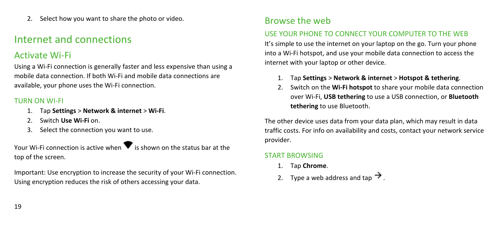2. Select how you want to share the photo or video.

## <span id="page-18-0"></span>Internet and connections

## <span id="page-18-1"></span>Activate Wi-Fi

Using a Wi-Fi connection is generally faster and less expensive than using a mobile data connection. If both Wi-Fi and mobile data connections are available, your phone uses the Wi-Fi connection.

#### TURN ON WI-FI

- 1. Tap **Settings** > **Network & internet** > **Wi-Fi**.
- 2. Switch **Use Wi-Fi** on.
- 3. Select the connection you want to use.

Your Wi-Fi connection is active when  $\blacktriangledown$  is shown on the status bar at the top of the screen.

Important: Use encryption to increase the security of your Wi-Fi connection. Using encryption reduces the risk of others accessing your data.

## <span id="page-18-2"></span>Browse the web

#### USE YOUR PHONE TO CONNECT YOUR COMPUTER TO THE WEB

It's simple to use the internet on your laptop on the go. Turn your phone into a Wi-Fi hotspot, and use your mobile data connection to access the internet with your laptop or other device.

- 1. Tap **Settings** > **Network & internet** > **Hotspot & tethering**.
- 2. Switch on the **Wi-Fi hotspot** to share your mobile data connection over Wi-Fi, **USB tethering** to use a USB connection, or **Bluetooth tethering** to use Bluetooth.

The other device uses data from your data plan, which may result in data traffic costs. For info on availability and costs, contact your network service provider.

#### START BROWSING

- 1. Tap **Chrome**.
- 2. Type a web address and tap  $\rightarrow$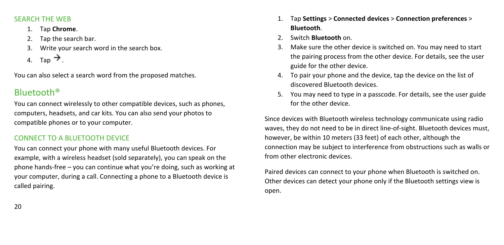#### SEARCH THE WEB

- 1. Tap **Chrome**.
- 2. Tap the search bar.
- 3. Write your search word in the search box.
- 4. Tap  $\rightarrow$ .

You can also select a search word from the proposed matches.

## <span id="page-19-0"></span>Bluetooth®

You can connect wirelessly to other compatible devices, such as phones, computers, headsets, and car kits. You can also send your photos to compatible phones or to your computer.

#### CONNECT TO A BLUETOOTH DEVICE

You can connect your phone with many useful Bluetooth devices. For example, with a wireless headset (sold separately), you can speak on the phone hands-free – you can continue what you're doing, such as working at your computer, during a call. Connecting a phone to a Bluetooth device is called pairing.

- 1. Tap **Settings** > **Connected devices** > **Connection preferences** > **Bluetooth**.
- 2. Switch **Bluetooth** on.
- 3. Make sure the other device is switched on. You may need to start the pairing process from the other device. For details, see the user guide for the other device.
- 4. To pair your phone and the device, tap the device on the list of discovered Bluetooth devices.
- 5. You may need to type in a passcode. For details, see the user guide for the other device.

Since devices with Bluetooth wireless technology communicate using radio waves, they do not need to be in direct line-of-sight. Bluetooth devices must, however, be within 10 meters (33 feet) of each other, although the connection may be subject to interference from obstructions such as walls or from other electronic devices.

Paired devices can connect to your phone when Bluetooth is switched on. Other devices can detect your phone only if the Bluetooth settings view is open.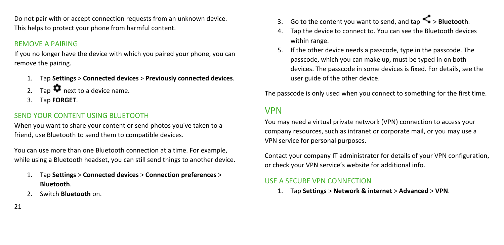Do not pair with or accept connection requests from an unknown device. This helps to protect your phone from harmful content.

#### REMOVE A PAIRING

If you no longer have the device with which you paired your phone, you can remove the pairing.

- 1. Tap **Settings** > **Connected devices** > **Previously connected devices**.
- 2. Tap  $\bullet$  next to a device name.
- 3. Tap **FORGET**.

#### SEND YOUR CONTENT USING BLUETOOTH

When you want to share your content or send photos you've taken to a friend, use Bluetooth to send them to compatible devices.

You can use more than one Bluetooth connection at a time. For example, while using a Bluetooth headset, you can still send things to another device.

- 1. Tap **Settings** > **Connected devices** > **Connection preferences** > **Bluetooth**.
- 2. Switch **Bluetooth** on.
- 3. Go to the content you want to send, and tap > **Bluetooth**.
- 4. Tap the device to connect to. You can see the Bluetooth devices within range.
- 5. If the other device needs a passcode, type in the passcode. The passcode, which you can make up, must be typed in on both devices. The passcode in some devices is fixed. For details, see the user guide of the other device.

The passcode is only used when you connect to something for the first time.

### <span id="page-20-0"></span>VPN

You may need a virtual private network (VPN) connection to access your company resources, such as intranet or corporate mail, or you may use a VPN service for personal purposes.

Contact your company IT administrator for details of your VPN configuration, or check your VPN service's website for additional info.

#### USE A SECURE VPN CONNECTION

1. Tap **Settings** > **Network & internet** > **Advanced** > **VPN**.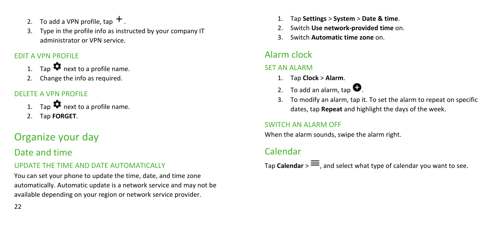- 2. To add a VPN profile, tap  $+$ .
- 3. Type in the profile info as instructed by your company IT administrator or VPN service.

#### EDIT A VPN PROFILE

- Tap  $\bullet$  next to a profile name.
- 2. Change the info as required.

#### DELETE A VPN PROFILE

- 1. Tap  $\bullet$  next to a profile name.
- 2. Tap **FORGET**.

# <span id="page-21-0"></span>Organize your day

## <span id="page-21-1"></span>Date and time

#### UPDATE THE TIME AND DATE AUTOMATICALLY

You can set your phone to update the time, date, and time zone automatically. Automatic update is a network service and may not be available depending on your region or network service provider.

- 1. Tap **Settings** > **System** > **Date & time**.
- 2. Switch **Use network-provided time** on.
- 3. Switch **Automatic time zone** on.

## <span id="page-21-2"></span>Alarm clock

#### SET AN ALARM

- 1. Tap **Clock** > **Alarm**.
- 2. To add an alarm, tap  $\bullet$
- 3. To modify an alarm, tap it. To set the alarm to repeat on specific dates, tap **Repeat** and highlight the days of the week.

### SWITCH AN ALARM OFF

When the alarm sounds, swipe the alarm right.

## <span id="page-21-3"></span>Calendar

Tap **Calendar**  $> \equiv$ , and select what type of calendar you want to see.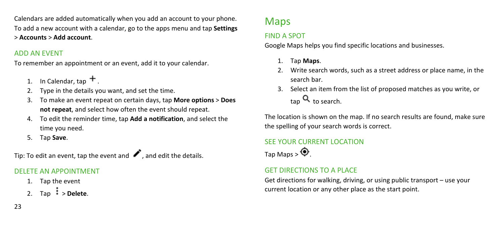Calendars are added automatically when you add an account to your phone. To add a new account with a calendar, go to the apps menu and tap **Settings** > **Accounts** > **Add account**.

#### ADD AN EVENT

To remember an appointment or an event, add it to your calendar.

- In Calendar, tap  $+$ .
- 2. Type in the details you want, and set the time.
- 3. To make an event repeat on certain days, tap **More options** > **Does not repeat**, and select how often the event should repeat.
- 4. To edit the reminder time, tap **Add a notification**, and select the time you need.
- 5. Tap **Save**.

Tip: To edit an event, tap the event and  $\bullet$ , and edit the details.

### DELETE AN APPOINTMENT

- 1. Tap the event
- 2. Tap  $\frac{1}{2}$  > **Delete**.

#### 23

## <span id="page-22-0"></span>Maps

#### FIND A SPOT

Google Maps helps you find specific locations and businesses.

- 1. Tap **Maps**.
- 2. Write search words, such as a street address or place name, in the search bar.
- 3. Select an item from the list of proposed matches as you write, or  $tan \, Q$  to search.

The location is shown on the map. If no search results are found, make sure the spelling of your search words is correct.

## SEE YOUR CURRENT LOCATION

Tap Maps >  $\bullet$ 

### GET DIRECTIONS TO A PLACE

Get directions for walking, driving, or using public transport – use your current location or any other place as the start point.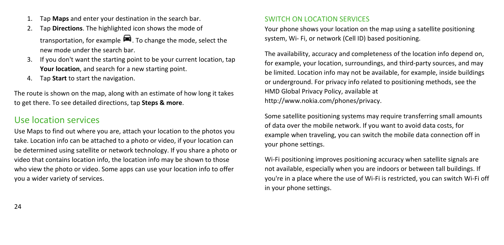- 1. Tap **Maps** and enter your destination in the search bar.
- 2. Tap **Directions**. The highlighted icon shows the mode of transportation, for example  $\blacksquare$ . To change the mode, select the new mode under the search bar.
- 3. If you don't want the starting point to be your current location, tap **Your location**, and search for a new starting point.
- 4. Tap **Start** to start the navigation.

The route is shown on the map, along with an estimate of how long it takes to get there. To see detailed directions, tap **Steps & more**.

### <span id="page-23-0"></span>Use location services

Use Maps to find out where you are, attach your location to the photos you take. Location info can be attached to a photo or video, if your location can be determined using satellite or network technology. If you share a photo or video that contains location info, the location info may be shown to those who view the photo or video. Some apps can use your location info to offer you a wider variety of services.

#### SWITCH ON LOCATION SERVICES

Your phone shows your location on the map using a satellite positioning system, Wi- Fi, or network (Cell ID) based positioning.

The availability, accuracy and completeness of the location info depend on, for example, your location, surroundings, and third-party sources, and may be limited. Location info may not be available, for example, inside buildings or underground. For privacy info related to positioning methods, see the HMD Global Privacy Policy, available at http://www.nokia.com/phones/privacy.

Some satellite positioning systems may require transferring small amounts of data over the mobile network. If you want to avoid data costs, for example when traveling, you can switch the mobile data connection off in your phone settings.

Wi-Fi positioning improves positioning accuracy when satellite signals are not available, especially when you are indoors or between tall buildings. If you're in a place where the use of Wi-Fi is restricted, you can switch Wi-Fi off in your phone settings.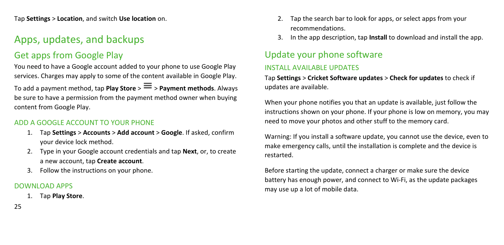Tap **Settings** > **Location**, and switch **Use location** on.

## <span id="page-24-0"></span>Apps, updates, and backups

## <span id="page-24-1"></span>Get apps from Google Play

You need to have a Google account added to your phone to use Google Play services. Charges may apply to some of the content available in Google Play.

To add a payment method, tap **Play Store** >  $\equiv$  > **Payment methods**. Always be sure to have a permission from the payment method owner when buying content from Google Play.

#### ADD A GOOGLE ACCOUNT TO YOUR PHONE

- 1. Tap **Settings** > **Accounts** > **Add account** > **Google**. If asked, confirm your device lock method.
- 2. Type in your Google account credentials and tap **Next**, or, to create a new account, tap **Create account**.
- 3. Follow the instructions on your phone.

#### DOWNLOAD APPS

1. Tap **Play Store**.

- 2. Tap the search bar to look for apps, or select apps from your recommendations.
- 3. In the app description, tap **Install** to download and install the app.

# <span id="page-24-2"></span>Update your phone software

#### INSTALL AVAILABLE UPDATES

Tap **Settings** > **Cricket Software updates** > **Check for updates** to check if updates are available.

When your phone notifies you that an update is available, just follow the instructions shown on your phone. If your phone is low on memory, you may need to move your photos and other stuff to the memory card.

Warning: If you install a software update, you cannot use the device, even to make emergency calls, until the installation is complete and the device is restarted.

Before starting the update, connect a charger or make sure the device battery has enough power, and connect to Wi-Fi, as the update packages may use up a lot of mobile data.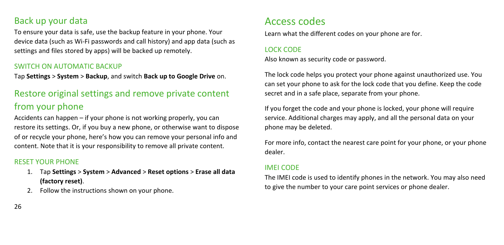### <span id="page-25-0"></span>Back up your data

To ensure your data is safe, use the backup feature in your phone. Your device data (such as Wi-Fi passwords and call history) and app data (such as settings and files stored by apps) will be backed up remotely.

#### SWITCH ON AUTOMATIC BACKUP

Tap **Settings** > **System** > **Backup**, and switch **Back up to Google Drive** on.

## <span id="page-25-1"></span>Restore original settings and remove private content from your phone

Accidents can happen – if your phone is not working properly, you can restore its settings. Or, if you buy a new phone, or otherwise want to dispose of or recycle your phone, here's how you can remove your personal info and content. Note that it is your responsibility to remove all private content.

#### RESET YOUR PHONE

- 1. Tap **Settings** > **System** > **Advanced** > **Reset options** > **Erase all data (factory reset)**.
- Follow the instructions shown on your phone.

## <span id="page-25-2"></span>Access codes

Learn what the different codes on your phone are for.

#### LOCK CODE

Also known as security code or password.

The lock code helps you protect your phone against unauthorized use. You can set your phone to ask for the lock code that you define. Keep the code secret and in a safe place, separate from your phone.

If you forget the code and your phone is locked, your phone will require service. Additional charges may apply, and all the personal data on your phone may be deleted.

For more info, contact the nearest care point for your phone, or your phone dealer.

#### IMEI CODE

The IMEI code is used to identify phones in the network. You may also need to give the number to your care point services or phone dealer.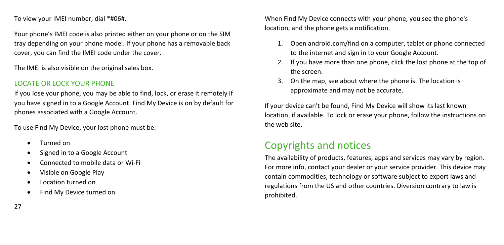To view your IMEI number, dial \*#06#.

Your phone's IMEI code is also printed either on your phone or on the SIM tray depending on your phone model. If your phone has a removable back cover, you can find the IMEI code under the cover.

The IMEI is also visible on the original sales box.

#### LOCATE OR LOCK YOUR PHONE

If you lose your phone, you may be able to find, lock, or erase it remotely if you have signed in to a Google Account. Find My Device is on by default for phones associated with a Google Account.

To use Find My Device, your lost phone must be:

- Turned on
- Signed in to a Google Account
- Connected to mobile data or Wi-Fi
- Visible on Google Play
- Location turned on
- Find My Device turned on

When Find My Device connects with your phone, you see the phone's location, and the phone gets a notification.

- 1. Open android.com/find on a computer, tablet or phone connected to the internet and sign in to your Google Account.
- 2. If you have more than one phone, click the lost phone at the top of the screen.
- 3. On the map, see about where the phone is. The location is approximate and may not be accurate.

If your device can't be found, Find My Device will show its last known location, if available. To lock or erase your phone, follow the instructions on the web site.

## <span id="page-26-0"></span>Copyrights and notices

The availability of products, features, apps and services may vary by region. For more info, contact your dealer or your service provider. This device may contain commodities, technology or software subject to export laws and regulations from the US and other countries. Diversion contrary to law is prohibited.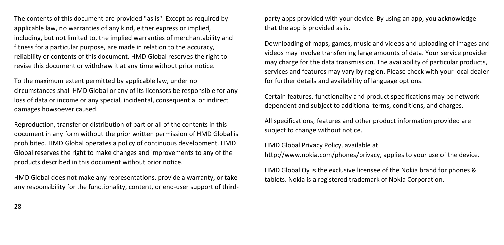The contents of this document are provided "as is". Except as required by applicable law, no warranties of any kind, either express or implied, including, but not limited to, the implied warranties of merchantability and fitness for a particular purpose, are made in relation to the accuracy, reliability or contents of this document. HMD Global reserves the right to revise this document or withdraw it at any time without prior notice.

To the maximum extent permitted by applicable law, under no circumstances shall HMD Global or any of its licensors be responsible for any loss of data or income or any special, incidental, consequential or indirect damages howsoever caused.

Reproduction, transfer or distribution of part or all of the contents in this document in any form without the prior written permission of HMD Global is prohibited. HMD Global operates a policy of continuous development. HMD Global reserves the right to make changes and improvements to any of the products described in this document without prior notice.

HMD Global does not make any representations, provide a warranty, or take any responsibility for the functionality, content, or end-user support of third-

party apps provided with your device. By using an app, you acknowledge that the app is provided as is.

Downloading of maps, games, music and videos and uploading of images and videos may involve transferring large amounts of data. Your service provider may charge for the data transmission. The availability of particular products, services and features may vary by region. Please check with your local dealer for further details and availability of language options.

Certain features, functionality and product specifications may be network dependent and subject to additional terms, conditions, and charges.

All specifications, features and other product information provided are subject to change without notice.

HMD Global Privacy Policy, available at http://www.nokia.com/phones/privacy, applies to your use of the device.

HMD Global Oy is the exclusive licensee of the Nokia brand for phones & tablets. Nokia is a registered trademark of Nokia Corporation.